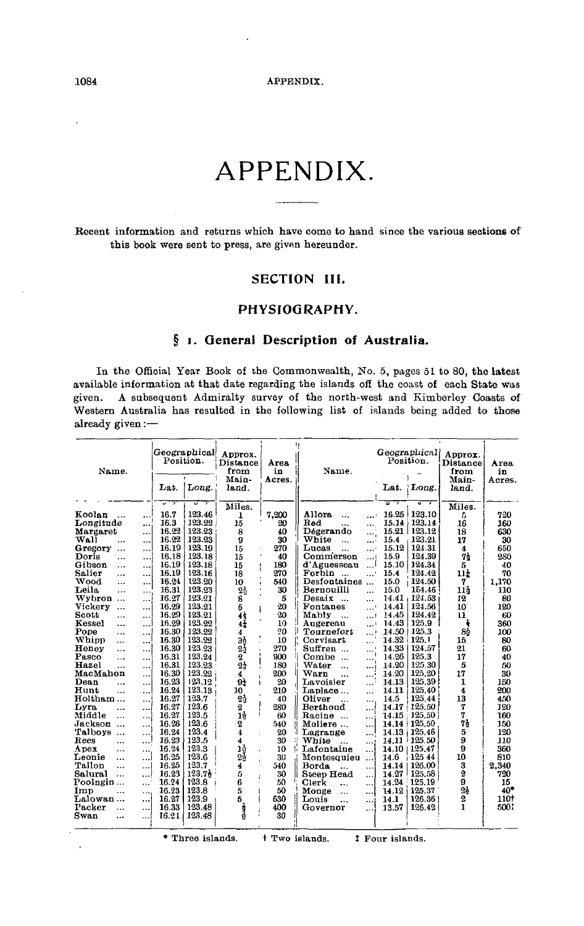Recent information and returns which have come to hand since the various sections of this book were sent to press, are given hereunder.

# **SECTION III.**

# **PHYSIOGRAPHY.**

# **§ i. General Description of Australia.**

In the Official Year Book of the Commonwealth, No. 5, pages 51 to 80, the latest available information at that date regarding the islands off the coast of each State was given. A subsequent Admiralty survey of the north-west and Kimberley Coasts of A subsequent Admiralty survey of the north-west and Kimberley Coasts of Western Australia has resulted in the following list of islands being added to those already given:—

| Name.                             | Position.<br>Lat. | Geographical<br>Long. | Approx.<br>Distance<br>from<br>Main-<br>land. | Area.<br>in<br>Acres. | Name.                                 | Lat.          | Geographical<br>Position.<br>Long. | Approx.<br>Distance<br>from<br>Main-<br>land. | Area<br>in<br>Acres. |
|-----------------------------------|-------------------|-----------------------|-----------------------------------------------|-----------------------|---------------------------------------|---------------|------------------------------------|-----------------------------------------------|----------------------|
|                                   | ज<br>7            | ᢑ<br>7                |                                               |                       |                                       | ᡒ<br>7        | ᡒ<br>7                             |                                               |                      |
|                                   |                   |                       | Miles.                                        |                       |                                       |               |                                    | Miles.                                        |                      |
| Koolan<br>$\ddotsc$<br>           | 16.7              | 123.46                | 1                                             | 7,200                 | <b>Allora</b><br>$\ddotsc$            | 16.25         | 123.10                             | 5                                             | 720                  |
| Longitude<br>                     | 16.3              | 123.22                | 15                                            | 20                    | Red<br>                               | 15.14         | 123.14                             | 16                                            | 160                  |
| Margaret<br>.                     | 16.22             | 123.23                | 8                                             | 40                    | Dégerando                             | 15.21         | 123.12                             | 18                                            | 630                  |
| Wall<br>$\cdots$<br>$\ddotsc$     | 16.22             | 123.23                | 9                                             | 30                    | White<br>$\ddotsc$<br>$\cdots$        | 15.4          | 123.21                             | 17                                            | 30                   |
| Gregory<br>$\cdots$<br>           | 16.19             | 123.19                | 15                                            | 270                   | Lucas<br>$\ddotsc$<br>$\cdots$        | 15.12         | 124.31                             | 4                                             | 650                  |
| Doris<br><br>                     | 16.18             | 123.18                | 15                                            | 40                    | Commerson<br>المند                    | 15.9          | 124.39                             | 74                                            | 280                  |
| Gibson<br>$\cdots$<br>            | 16.19             | 123.18                | 15                                            | 180                   | d'Aguesseau<br>ا                      | 15.10         | 124.34                             | 5                                             | 40                   |
| Salier<br>$\ddotsc$<br>           | 16.19             | 123.16                | 18                                            | 270                   | Forbin<br>'<br>$\sim$                 | 15.4          | 124.42                             | 11 <sub>z</sub>                               | 70                   |
| Wood<br>$\cdots$<br>              | 16.24             | 123.20                | 10                                            | 540                   | Desfontaines<br>$\ddotsc$             | 15.0          | 124.50                             | 7                                             | 1,170                |
| Leila<br>$\ddotsc$<br>            | 16.31             | 123,23                | 2 <sub>0</sub>                                | 30                    | Bernouilli<br>$\ddotsc$               | 15.0          | 154.46                             | 114                                           | 110                  |
| Wybron<br>$\ddotsc$               | 16.27             | 123.21                | 8                                             | 5                     | Desaix<br>$\sim$<br>$\cdots$          |               | 14.41, 124.53                      | 12                                            | 80                   |
| Vickery<br>$\ddotsc$<br>$\ddotsc$ | 16.29             | 123.21                | 5<br>ł                                        | 20                    | Fontanes<br>'                         | 14.41         | 124.56                             | 10                                            | 120                  |
| Scott<br>$\cdots$<br>             | 16.29             | 123.21                | 44                                            | $20 \frac{1}{2}$      | Mably<br>                             | 14.45         | 124.42                             | 11                                            | 60                   |
| Kessel<br><br>$\ddotsc$           | 16.29             | 123.22                | 41                                            | 10                    | Augereau                              | 14.43         | 125.9                              |                                               | 360                  |
| Pope<br>$\ddotsc$<br>             | 16.30             | 123.22                | 4                                             | 20                    | Tournefort<br>ويند                    | 14.50   125.3 |                                    | 85                                            | 100                  |
| Whipp<br><br>$\ddotsc$            | 16.30             | 123.29                |                                               | 10                    | Corvisart<br>.                        | 14.32         | 125.1                              | 15                                            | 80                   |
| Heney<br><br>$\cdots$             | 16.30             | 123.23                | $\bar{3}^1_2$                                 | 270                   | Suffren<br>$\sim$<br>.                | 14.33         | 124.57                             | 21                                            | 60                   |
| Pasco<br>                         | 16.31             | 123,24                |                                               | 900                   | Combe<br>$\ddotsc$                    | 14.26         | 125.3                              | 17                                            | 40                   |
| <br>Hazel                         | 16.31             | 123.23                | $^{2}_{23}$                                   | 180                   | Water                                 | 14.20         | 125.30                             | 5                                             | 50                   |
| $\cdots$<br>$\cdots$<br>MacMahon  | 16.30             | 123.22                | 4                                             | 200                   | <br>اءءه<br>Warn                      | 14.20         | 125.20                             | 17                                            | 30                   |
| <br>Dean                          | 16.23             | 123.12                | $\overline{91}$                               | 20                    | فمعد<br>$\ddotsc$<br>Lavoisier        | 14.13         | 125.39                             | 1                                             | 150                  |
| <br>                              | 16.24             | 123.13                |                                               |                       | المعا                                 |               | 125.40                             | 4                                             | 200                  |
| Hunt<br><br>                      |                   | 123.7                 | 10                                            | 210                   | Laplace<br>                           | 14.11         |                                    | 13                                            |                      |
| Holtham<br>.                      | 16.27             |                       | 2 <sub>2</sub>                                | 40                    | Oliver<br>                            | 14.5          | 125.44                             |                                               | 450                  |
| Lvra<br>$\ddotsc$                 | 16.27             | 123.6                 | 2                                             | 280                   | Berthoud<br>$\ddotsc$                 | 14.17         | 125.50                             | 7                                             | 120                  |
| Middle<br>$\cdots$<br>            | 16.27             | 123.5                 | 14                                            | 60                    | Racine<br>                            | 14.15         | 125,50                             | 7                                             | 160                  |
| Jackson<br>$\ddotsc$              | 16.26             | 123.6                 | $\boldsymbol{2}$                              | 540                   | Moliere<br>$\ddotsc$                  | 14.14         | 125.50                             | 78                                            | 150                  |
| Talboys<br><br>$\ddotsc$          | 16.24             | 123.4                 | 4                                             | 20                    | Lagrange<br>                          | 14.13         | 125.46                             | 5                                             | 120                  |
| Rees<br><br>                      | 16.23             | 123.5                 | 4                                             | 30<br>Ħ               | White<br>$\ddotsc$                    | 14.11         | 125.50                             | 9                                             | 110                  |
| Apex<br><br>                      | 16.24             | 123.3                 | 14                                            | 10                    | Lafontaine<br>                        |               | 14.10   125.47                     | 9                                             | 360                  |
| Leonie<br>$\cdots$<br>$\ddotsc$   | 16.25             | 123.6                 | 24                                            | 30                    | Montesquieu<br>$\ddotsc$              | 14.6          | 125 44                             | 10                                            | 810                  |
| Tallon<br><br>$\ddotsc$           | 16.25             | 123.7                 | 4                                             | 540                   | <b>Borda</b><br>$\cdots$<br>$\ddotsc$ | 14.14         | 126.00                             | 3                                             | 2,340                |
| Salural<br>$\ddotsc$<br>          | 16,23             | 123.7 <sub>2</sub>    | 5                                             | 30                    | Steep Head<br>                        | 14.27         | 125,58                             | $\boldsymbol{2}$                              | 720                  |
| Poolngin<br>                      | 16.24             | 123.8                 | 6                                             | 50                    | Clerk<br><br>                         | 14.24         | 125,19                             | 9                                             | 15                   |
| Imp<br>$\ddotsc$<br>$\cdots$      | 16.23             | 123.8                 | 5                                             | 50                    | Monge<br>$\ldots$<br>$\cdots$         | 14.12         | 125.37                             | $2\frac{1}{2}$                                | $40*$                |
| Lalowan<br>                       | 16.27             | 123.9                 | 5                                             | 630                   | Louis<br>$\ddotsc$<br>                | 14.1          | 126.36                             | 2                                             | 110†                 |
| Packer<br><br>                    | 16.33             | 123.48                |                                               | 400                   | Governor<br>$\ddotsc$                 | 13.57         | 126.42                             | 1                                             | 500:                 |
| Swan<br>.<br>$\cdots$             | 16.21             | 123.48                | 青豆                                            | 30                    |                                       |               |                                    |                                               |                      |
|                                   |                   |                       |                                               |                       |                                       |               |                                    |                                               |                      |

\* Three islands. <br>  $\dagger$  Two islands. <br>  $\dagger$  Four islands.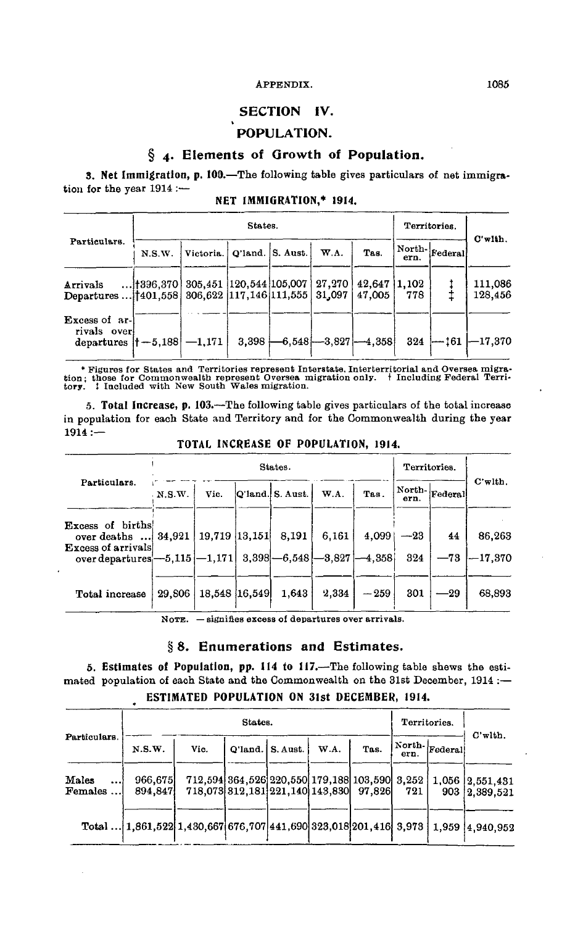# SECTION **IV.**

# POPULATION.

# § 4. Elements of Growth of Population.

**3. Net Immigration, p. 100.**—The following table gives particulars of net immigration for the year 1914 :-

|  | NET IMMIGRATION,* 1914. |  |  |  |  |
|--|-------------------------|--|--|--|--|
|--|-------------------------|--|--|--|--|

|                                                                                |               |                                    |  | Territories. |                        |      |                                                      |                                                                                                   |
|--------------------------------------------------------------------------------|---------------|------------------------------------|--|--------------|------------------------|------|------------------------------------------------------|---------------------------------------------------------------------------------------------------|
| Particulars.                                                                   | N.S.W.        | Victoria.   Q'land.   S. Aust.     |  | W.A.         | Tas.                   | ern. | $\ensuremath{ \, \text{North-} \, \text{Federal} }}$ | $C$ 'wlth.                                                                                        |
| Arrivals<br>Departures    1401, 558   306, 622   117, 146   111, 555   31, 097 | $$ + 396, 370 | 305,451  120,544  105,007   27,270 |  |              | 42.647 1.102<br>47.005 | 778  |                                                      | 111,086<br>128,456                                                                                |
| Excess of ar-<br>rivals over<br>departures $ +-5.188  -1.171$                  |               |                                    |  |              |                        |      |                                                      | $3.398 \leftarrow 6.548 \leftarrow 3.827 \leftarrow 4.358$ $324 \leftarrow 161 \leftarrow 17.370$ |

\* Figures for States and Territories represent Interstate, Interterritorial and Oversea migration; those for Commonwealth represent Oversea migration; those for Commonwealth represent formed that the formed that the formed

**5. Total Increase, p. 103.**—The following table gives particulars of the total increase in population for each State and Territory and for the Commonwealth during the year  $1914 :=$ 

|                                                              |        |                          | States. |                             | Territories. |            |       |                                                                  |            |
|--------------------------------------------------------------|--------|--------------------------|---------|-----------------------------|--------------|------------|-------|------------------------------------------------------------------|------------|
| Particulars.                                                 | N.S.W. | Vic.                     |         | $ Q'$ land. $ S.$ Aust. $ $ | W.A.         | Tas.       | ern.  | $\ensuremath{ \operatorname{North-}} _{\operatorname{Federal}} $ | $C'$ with. |
| Excess of births<br>over deaths<br><b>Excess of arrivals</b> |        | 34,921   19,719   13,151 |         | 8,191                       | 6.161        | 4,099      | $-23$ | 44                                                               | 86,263     |
| over departures $-5.115$ $-1.171$ 3.398 $-6.548$ $-3.827$    |        |                          |         |                             |              | $[-4,358]$ | 324   | $-73$                                                            | $-17.370$  |
| Total increase                                               | 29,806 | 18,548 16,549            |         | 1,643                       | 2,334        | $-259$     | 301   | $-29$                                                            | 68,893     |

**TOTAL INCREASE OF POPULATION, 1914.**

NOTE. — signifies excess of departures over arrivals.

#### § 8. Enumerations and Estimates.

**5. Estimates of Population, pp. 114 to 117.**—The following table shews the estimated population of each State and the Commonwealth on the 31st December, 1914 :— **ESTIMATED POPULATION ON 31st DECEMBER, 1914.**

|                      |                                                                                  |      | States.                                                                                 |                    |      |      | Territories. |                                              |                               |
|----------------------|----------------------------------------------------------------------------------|------|-----------------------------------------------------------------------------------------|--------------------|------|------|--------------|----------------------------------------------|-------------------------------|
| Particulars.         | N.S.W.                                                                           | Vic. |                                                                                         | Q'land.   S. Aust. | W.A. | Tas. | ern.         | $\vert$ North- $\vert_{\mbox{Federal}}\vert$ | $C'$ with.                    |
| Males<br><br>Females | 966,675<br>894.847                                                               |      | 712,594 364,526 220,550 179,188 103,590 3,252<br>718.073 312.181 221.140 143.830 97.826 |                    |      |      | 721          | 903                                          | 1,056 2,551,431<br> 2,389,521 |
|                      | Total  1.861,522 1,430,667 676,707 441,690 323,018 201,416 3,973 1,959 4,940,952 |      |                                                                                         |                    |      |      |              |                                              |                               |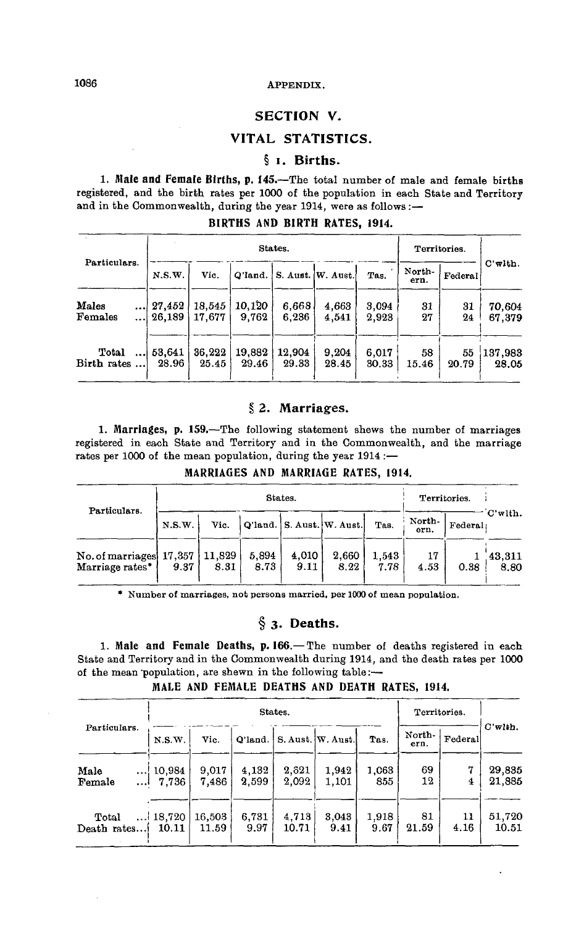# **SECTION V.**

# **VITAL STATISTICS.**

# **§ i. Births.**

1. Male and Female Births, p. 145.—The total number of male and female births registered, and the birth rates per 1000 of the population in each State and Territory and in the Commonwealth, during the year 1914, were as follows :-

|              |        |        |        | States. |                             |       | Territories.   |         |            |
|--------------|--------|--------|--------|---------|-----------------------------|-------|----------------|---------|------------|
| Particulars. | N.S.W. | Vic.   |        |         | Q'land. S. Aust.   W. Aust. | Tas.  | North-<br>ern. | Federal | $C'$ with. |
| Males        | 27,452 | 18,545 | 10.120 | 6.668   | 4,663                       | 3.094 | 31             | 31      | 70,604     |
| Females      | 26,189 | 17.677 | 9,762  | 6.236   | 4,541                       | 2,923 | 27             | 24      | 67,379     |
| Total        | 53.641 | 36.222 | 19,882 | 12,904  | 9.204                       | 6.017 | 58             | 55      | 137,983    |
| Birth rates  | 28.96  | 25.45  | 29.46  | 29.33   | 28.45                       | 30.33 | 15.46          | 20.79   | 28.05      |

#### **BIRTHS AND BIRTH RATES, 1914.**

#### **§ 2. Marriages.**

1. Marriages, p. 159.—The following statement shews the number of marriages registered in each State and Territory and in the Commonwealth, and the marriage rates per 1000 of the mean population, during the year 1914 :—

#### MARRIAGES AND MARRIAGE RATES, 1914.

| Particulars.                                          |        |      | States.       | Territories.  |                           |               |                |         |                   |
|-------------------------------------------------------|--------|------|---------------|---------------|---------------------------|---------------|----------------|---------|-------------------|
|                                                       | N.S.W. | Vic. |               |               | Q'land. S. Aust. W. Aust. | Tas.          | North-<br>ern. | Federal | C'with.           |
| No. of marriages 17,357   11,829  <br>Marriage rates* | 9.37   | 8.31 | 5.894<br>8.73 | 4,010<br>9.11 | 2,660<br>8.22             | 1,543<br>7.78 | 17<br>4.53     | 0.38    | (43, 311)<br>8.80 |

\* Number of marriages, not persons married, per 1000 of mean population.

# **§ 3. Deaths.**

1. Male and Female Deaths, p. 166.— The number of deaths registered in each State and Territory and in the Commonwealth during 1914, and the death rates per 1000 of the mean 'population, are shewn in the following table:—

# MALE AND FEMALE DEATHS AND DEATH RATES, 1914.

|                      |                          |                 |                | States.        |                               |               | Territories.   |            |                  |
|----------------------|--------------------------|-----------------|----------------|----------------|-------------------------------|---------------|----------------|------------|------------------|
| Particulars.         | N.S.W.                   | Vic.            |                |                | Q'land.   S. Aust.   W. Aust. | Tas.          | North-<br>ern. | Federal    | $C'$ wlth.       |
| Male<br>Female<br>,  | 10,984<br>7.736          | 9,017<br>7,486  | 4.132<br>2.599 | 2,621<br>2,092 | 1.942<br>1,101                | 1,063<br>855  | 69<br>12       | 7<br>4     | 29,835<br>21,885 |
| Total<br>Death rates | $\ldots$ 18,720<br>10.11 | 16,503<br>11.59 | 6,731<br>9.97  | 4.713<br>10.71 | 3,043<br>9.41                 | 1.918<br>9.67 | 81<br>21.59    | 11<br>4.16 | 51,720<br>10.51  |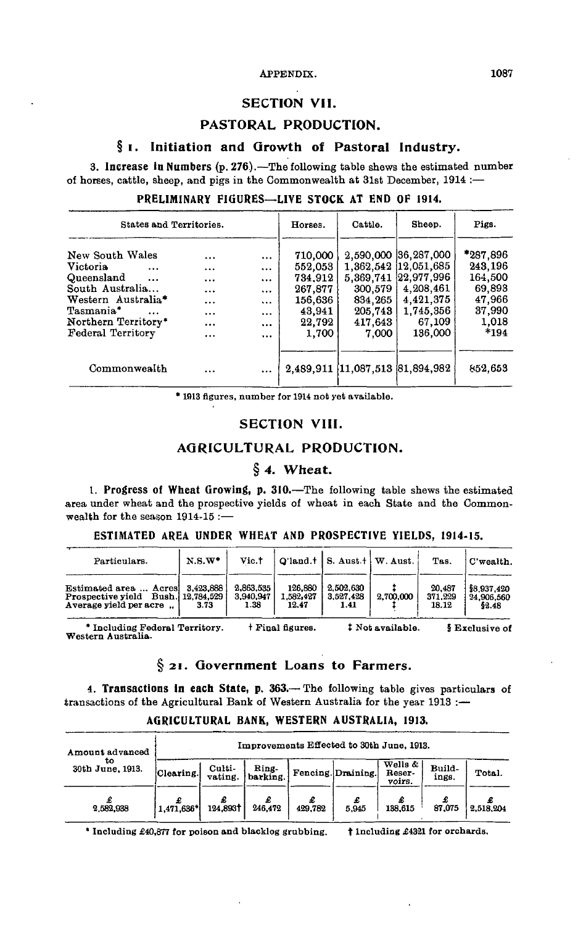#### **SECTION VII.**

# **PASTORAL PRODUCTION.**

# **§ i. Initiation and Growth of Pastoral Industry.**

**3. Increase in Numbers** (p. 276).—The following table shews the estimated number of horses, cattle, sheep, and pigs in the Commonwealth at 31st December, 1914 :—

| PRELIMINARY FIGURES—LIVE STOCK AT END OF 1914. |  |  |  |
|------------------------------------------------|--|--|--|
|                                                |  |  |  |

| States and Territories.      |           |          | Horses. | Cattle. | Sheep.                             | Pigs.      |
|------------------------------|-----------|----------|---------|---------|------------------------------------|------------|
| New South Wales              |           | $\cdots$ | 710,000 |         | 2,590,000 36,287,000               | $*287.896$ |
| <b>Victoria</b><br>$\ddotsc$ | $\ddotsc$ | $\cdots$ | 552.053 |         | 1,362,542 12,051,685               | 243,196    |
| Queensland<br>$\ddotsc$      | $\cdots$  |          | 734,912 |         | 5, 369, 741 22, 977, 996           | 164,500    |
| South Australia              | $\cdots$  | $\cdots$ | 267.877 | 300,579 | 4,208,461                          | 69,893     |
| Western Australia*           |           | $\cdots$ | 156,636 | 834.265 | 4,421,375                          | 47,966     |
| Tasmania*                    | $\cdots$  | $\cdots$ | 43,941  | 205,743 | 1,745,356                          | 37,990     |
| Northern Territory*          |           | $\cdots$ | 22,792  | 417,643 | 67,109                             | 1,018      |
| Federal Territory            | $\cdots$  | $\cdots$ | 1,700   | 7,000   | 136,000                            | *194       |
| Commonwealth                 |           |          |         |         | 2,489,911 (11,087,513 (81,894,982) | 852,653    |

\* 1913 figures, number for 1914 not yet available.

#### **SECTION VIII.**

# **AGRICULTURAL PRODUCTION.**

# **§ 4. Wheat.**

**t. Progress Of Wheat Growing, p. 310.**—The following table shews the estimated area under wheat and the prospective yields of wheat in each State and the Commonwealth for the season 1914-15 :—

#### **ESTIMATED AREA UNDER WHEAT AND PROSPECTIVE YIELDS, 1914-15.**

| Particulars.                                                                          | $N.S.W^*$         | Vic.†                          |                               | $Q'$ land. $\dagger$   S. Aust. $\dagger$   W. Aust. |           | Tas.                       | C'wealth.                          |
|---------------------------------------------------------------------------------------|-------------------|--------------------------------|-------------------------------|------------------------------------------------------|-----------|----------------------------|------------------------------------|
| Estimated area  Acres<br>Prospective yield Bush. 12,784,529<br>Average yield per acre | 3.423.888<br>3.73 | 2.863.535<br>3,940,947<br>1.38 | 126,880<br>1.582,427<br>12.47 | 2.502.630<br>3.527,428<br>1.41                       | 2,700,000 | 20,487<br>371.229<br>18.12 | \$8,937,420<br>24,906,560<br>52.48 |

\* Including Federal Territory. Western Australia. t Final figures. Not available. § Exclusive of

# **§ 21. Government Loans to Farmers.**

**4. Transactions in each State, p. 363.**— The following table gives particulars of transactions of the Agricultural Bank of Western Australia for the year 1913 :-

| Amount advanced        | Improvements Effected to 30th June, 1913. |                   |                   |              |                   |                                       |                 |           |  |  |  |
|------------------------|-------------------------------------------|-------------------|-------------------|--------------|-------------------|---------------------------------------|-----------------|-----------|--|--|--|
| ŧο<br>30th June, 1913. | Clearing.                                 | Culti-<br>vating. | Ring-<br>barking. |              | Fencing Draining. | Wells $\&$ $\mid$<br>Reser-<br>voirs. | Build-<br>ings. | Total.    |  |  |  |
| 2.582.938              | 1,471,636*                                | 124,8931          | 246.472           | £<br>429,782 | 5,945             | 138,615                               | 87,075          | 2.518.204 |  |  |  |

#### **AGRICULTURAL BANK, WESTERN AUSTRALIA, 1913.**

\* Including £40,877 for poison and blacklog grubbing.  $\dagger$  1 ncluding £4321 for orchards.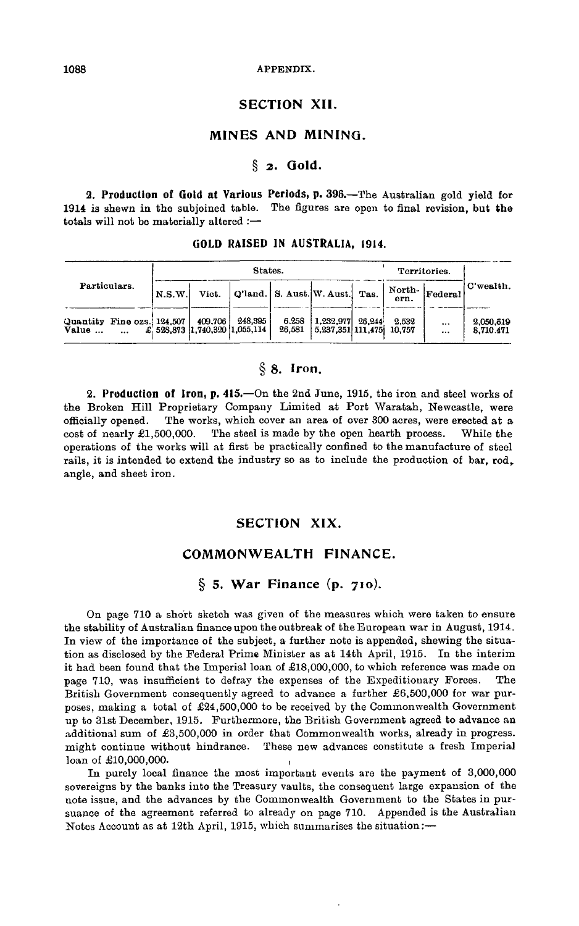# **SECTION XII.**

# **MINES AND MINING.**

#### **§ 2. Gold.**

*2.* **Production of Gold at Various Periods, p.** 396.—The Australian gold yield for 1914 is shewn in the subjoined table. The figures are open to final revision, but tha totals will not be materially altered :—

|                                                 |        |                                           | States.                     | Territories.    |                                     |         |                 |                      |                        |
|-------------------------------------------------|--------|-------------------------------------------|-----------------------------|-----------------|-------------------------------------|---------|-----------------|----------------------|------------------------|
| Particulars.                                    | N.S.W. | Vict.                                     | Q'land.   S. Aust. W. Aust. |                 |                                     | $T$ as. | North-<br>ern.  | Federal              | C'wealth.              |
| Quantity Fine ozs. 124,507<br>Value<br>$\cdots$ |        | 409.706<br>£, 528,873 1.740,320 1.055,114 | 248,395                     | 6.258<br>26.581 | 1.232.977<br>$5.237.351 \, 111.475$ | 26.244  | 2.532<br>10.757 | $\cdots$<br>$\cdots$ | 2,050,619<br>8,710.471 |

#### **GOLD RAISED IN AUSTRALIA, 1914.**

#### **§ 8. Iron.**

**2. Production of Iron, p. 415.**—On the 2nd June, 1915, the iron and steel works of the Broken Hill Proprietary Company Limited at Port Waratah, Newcastle, were officially opened. The works, which cover an area of over 300 acres, were erected at a cost of nearly  $\pounds1,500,000$ . The steel is made by the open hearth process. While the operations of the works will at first be practically confined to the manufacture of steel rails, it is intended to extend the industry so as to include the production of bar, rod, angle, and sheet iron.

# **SECTION XIX.**

# **COMMONWEALTH FINANCE.**

#### **§ 5. War Finance (p. 710).**

On page 710 a short sketch was given of the measures which were taken to ensure the stability of Australian finance upon the outbreak of the European war in August, 1914. In view of the importance of the subject, a further note is appended, shewing the situation as disclosed by the Federal Prime Minister as at 14th April, 1915. In the interim it had been found that the Imperial loan of £18,000,000, to which reference was made on page 710, was insufficient to defray the expenses of the Expeditionary Forces. The British Government consequently agreed to advance a further £6,500,000 for war purposes, making a total of £24,500,000 to be received by the Commonwealth Government up to 31st December, 1915. Furthermore, the British Government agreed to advance an additional sum of £3,500,000 in order that Commonwealth works, already in progress, might continue without hindrance. These new advances constitute a fresh Imperial loan of £10,000,000.

In purely local finance the most important events are the payment of 3,000,000 sovereigns by the banks into the Treasury vaults, the consequent large expansion of the note issue, and the advances by the Commonwealth Government to the States in pursuance of the agreement referred to already on page 710. Appended is the Australian Notes Account as at 12th April, 1915, which summarises the situation:—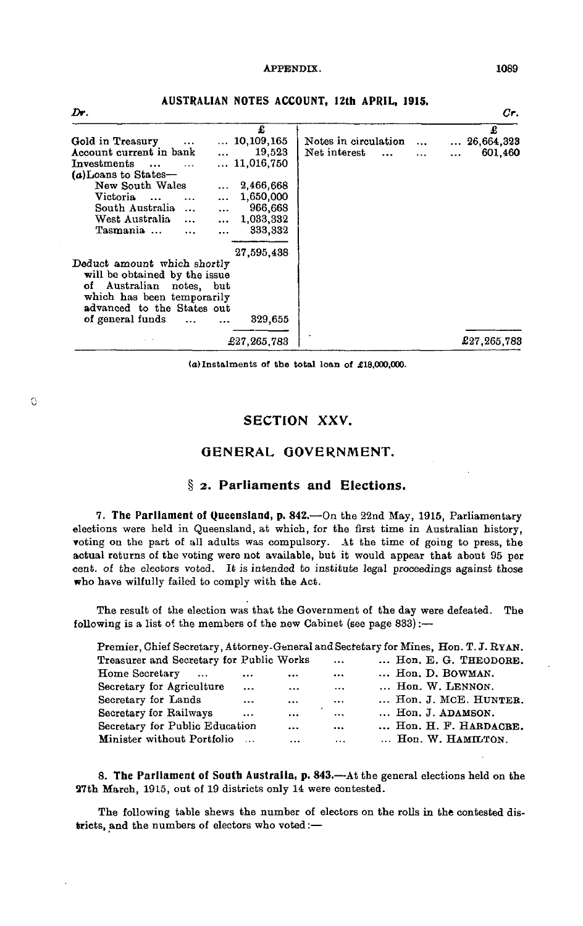| Dr.                                     |             |                      |           | Cr.                  |
|-----------------------------------------|-------------|----------------------|-----------|----------------------|
|                                         | £           |                      |           | £                    |
| Gold in Treasury                        | 10,109,165  | Notes in circulation | $\ddotsc$ | $\ldots\ 26,664,323$ |
| Account current in bank                 | 19,523      | Net interest         | $\ddotsc$ | 601,460              |
| Investments<br>$\ddotsc$                | 11.016.750  |                      |           |                      |
| (a)Loans to States-                     |             |                      |           |                      |
| New South Wales                         | 2,466,668   |                      |           |                      |
| Victoria<br>$\ddotsc$<br>$\ddotsc$      | 1,650,000   |                      |           |                      |
| South Australia<br>$\ddotsc$<br>        | 966,668     |                      |           |                      |
| West Australia<br>$\ddotsc$<br>$\cdots$ | 1,033,332   |                      |           |                      |
| Tasmania                                | 333,332     |                      |           |                      |
|                                         | 27,595,438  |                      |           |                      |
| Deduct amount which shortly             |             |                      |           |                      |
| will be obtained by the issue           |             |                      |           |                      |
| Australian<br>οf<br>notes, but          |             |                      |           |                      |
| which has been temporarily              |             |                      |           |                      |
| advanced to the States out              |             |                      |           |                      |
| of general funds<br>                    | 329,655     |                      |           |                      |
|                                         | £27,265,783 |                      |           | £27,265,783          |

**AUSTRALIAN NOTES ACCOUNT, 12th APRIL, 1915.**

**(a) Instalments of the total loan of £18,000,000.**

# **SECTION XXV.**

## **GENERAL GOVERNMENT.**

# **§** *2.* **Parliaments and Elections.**

7. The Parliament of Queensland, p. 842.—On the 22nd May, 1915, Parliamentary elections were held in Queensland, at which, for the first time in Australian history, voting on the part of all adults was compulsory. At the time of going to press, the actual returns of the voting were not available, but it would appear that about 95 per cent, of the electors voted. It is intended to institute legal proceedings against those who have wilfully failed to comply with the Act.

The result of the election was that the Government of the day were defeated, The following is a list of the members of the new Cabinet (see page 833):—

|                                          |           |          |          | Premier, Chief Secretary, Attorney-General and Secretary for Mines, Hon. T. J. RYAN. |
|------------------------------------------|-----------|----------|----------|--------------------------------------------------------------------------------------|
| Treasurer and Secretary for Public Works |           |          | $\cdots$ | Hon. E. G. THEODORE.                                                                 |
| Home Secretary<br>$\sim$                 | $\cdots$  |          | $\cdots$ | Hon. D. BOWMAN.                                                                      |
| Secretary for Agriculture                | $\ddotsc$ | $\cdots$ | $\cdots$ | Hon. W. LENNON.                                                                      |
| Secretary for Lands                      | $\cdots$  | $\cdots$ | $\cdots$ | Hon. J. MCE. HUNTER.                                                                 |
| Secretary for Railways                   | $\cdots$  | $\cdots$ | $\cdots$ | Hon. J. ADAMSON.                                                                     |
| Secretary for Public Education           |           | $\cdots$ | $\cdots$ | Hon. H. F. HARDACRE.                                                                 |
| Minister without Portfolio               |           | $\cdots$ | $\cdots$ | Hon. W. HAMILTON.                                                                    |

8. The Parliament of South Australia, p. 843.—At the general elections held on the 37th March, 1915, out of 19 districts only 14 were contested.

The following table shews the number of electors on the rolls in the contested districts, and the numbers of electors who voted:—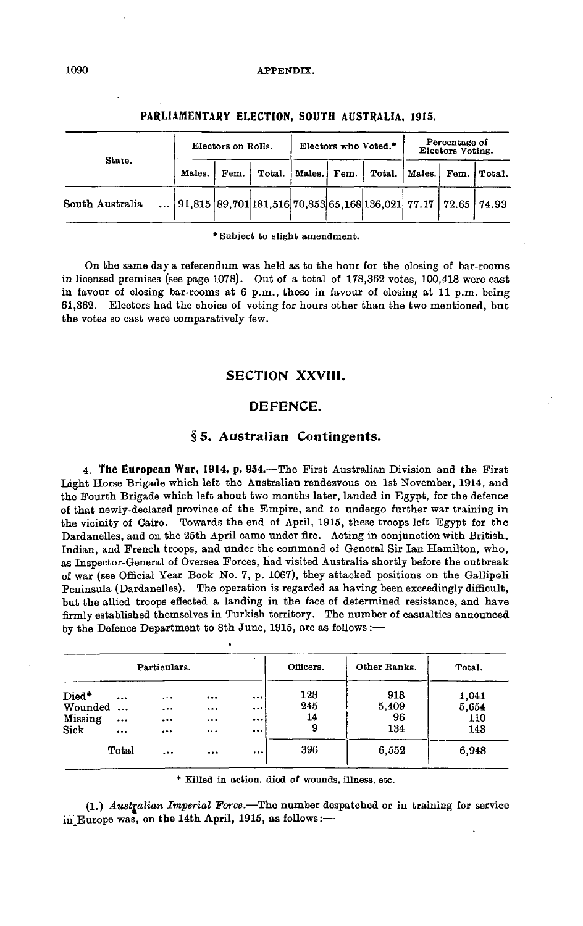|                 |  |        | Electors on Rolls. | Electors who Voted.* |      |                                                               | Percentage of<br>Electors Voting. |  |             |
|-----------------|--|--------|--------------------|----------------------|------|---------------------------------------------------------------|-----------------------------------|--|-------------|
| State.          |  | Males. | Fem.               | Total.   Males.      | Fem. | Total.                                                        | Males.                            |  | Fem. Total. |
| South Australia |  |        |                    |                      |      | 91,815 89,701 181,516 70,853 65,168 136,021 77.17 72.65 74.93 |                                   |  |             |

#### **PARLIAMENTARY ELECTION, SOUTH AUSTRALIA, 1915.**

\* Subject to slight amendment.

On the same day a referendum was held as to the hour for the closing of bar-rooms in licensed premises (see page 1078). Out of a total of 178,362 votes, 100,418 were cast in favour of closing bar-rooms at 6 p.m., those in favour of closing at 11 p.m. being 61,362. Electors had the choice of voting for hours other than the two mentioned, but the votes so cast were comparatively few.

# SECTION **XXVIII.**

#### DEFENCE.

#### § 5. Australian Contingents.

**4. The European War, 1914, p.** *954.*—The First Australian Division and the First Light Horse Brigade which left the Australian rendezvous on 1st November, 1914, and the Fourth Brigade which left about two months later, landed in Egypt, for the defence of that newly-declared province of the Empire, and to undergo further war training in the vicinity of Cairo. Towards the end of April, 1915, these troops left Egypt for the Dardanelles, and on the 25th April came under fire. Acting in conjunction with British, Indian, and French troops, and under the command of General Sir Ian Hamilton, who, as Inspector-General of Oversea Forces, had visited Australia shortly before the outbreak of war (see Official Year Book No. 7, p. 1067), they attacked positions on the Gallipoli Peninsula (Dardanelles). The operation is regarded as having been exceedingly difficult, but the allied troops effected a landing in the face of determined resistance, and have firmly established themselves in Turkish territory. The number of casualties announced by the Defence Department to 8th June, 1915, are as follows :—

|         |           | Particulars. |          |          | Officers. | Other Ranks. | Total. |
|---------|-----------|--------------|----------|----------|-----------|--------------|--------|
| Died*   | $\cdots$  | $\cdots$     |          |          | 128       | 913          | 1,041  |
| Wounded | $\ddotsc$ |              |          | $\cdots$ | 245       | 5,409        | 5,654  |
| Missing | $\cdots$  |              |          |          | 14        | 96           | 110    |
| Sick    |           | $\cdots$     |          | $\cdots$ | 9         | 134          | 143    |
|         | Total     | $\ddotsc$    | $\cdots$ | $\cdots$ | 396       | 6,552        | 6,948  |

\* Killed in action, died of wounds, illness, etc.

(1.) *Australian Imperial Force.*—The number despatched or in training for service in Europe was, on the 14th April, 1915, as follows:-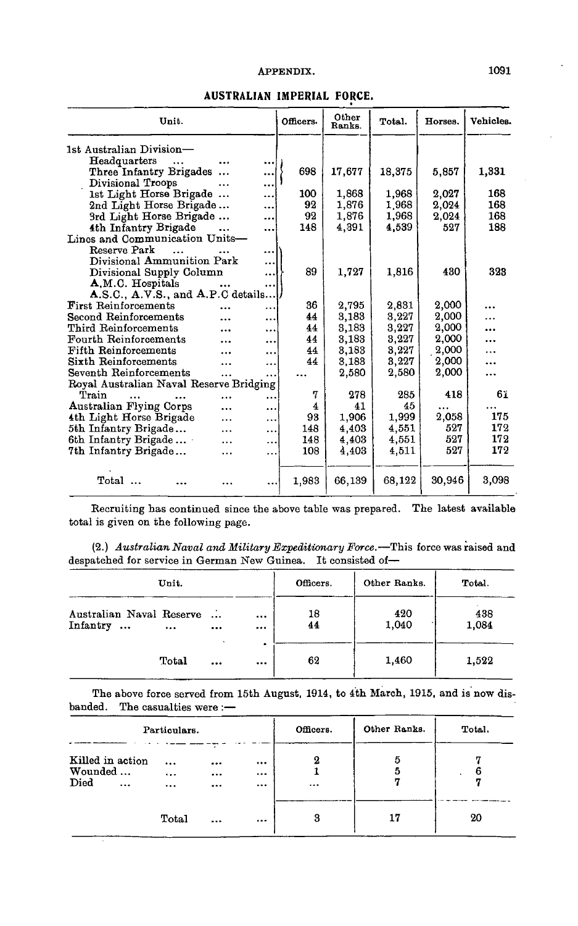| Unit.                                   |           | Officers. | Other<br>Ranks. | Total. | Horses. | Vehicles. |
|-----------------------------------------|-----------|-----------|-----------------|--------|---------|-----------|
| 1st Australian Division—                |           |           |                 |        |         |           |
| Headquarters                            |           |           |                 |        |         |           |
| Three Infantry Brigades                 |           | 698       | 17,677          | 18,375 | 5,857   | 1,331     |
| Divisional Troops<br>                   |           |           |                 |        |         |           |
| 1st Light Horse Brigade                 |           | 100       | 1,868           | 1.968  | 2.027   | 168       |
| 2nd Light Horse Brigade                 |           | 92        | 1,876           | 1.968  | 2.024   | 168       |
| 3rd Light Horse Brigade                 |           | 92        | 1,876           | 1,968  | 2,024   | 168       |
| 4th Infantry Brigade                    |           | 148       | 4,391           | 4,539  | 527     | 188       |
| Lines and Communication Units-          |           |           |                 |        |         |           |
| Reserve Park                            |           |           |                 |        |         |           |
| Divisional Ammunition Park              |           |           |                 |        |         |           |
| Divisional Supply Column                |           | 89        | 1,727           | 1,816  | 430     | 323       |
| A.M.C. Hospitals                        | $\ddotsc$ |           |                 |        |         |           |
| A.S.C., A.V.S., and A.P.C details       |           |           |                 |        |         |           |
| <b>First Reinforcements</b>             | $\cdots$  | 36        | 2,795           | 2,831  | 2.000   |           |
| Second Reinforcements<br>.              |           | 44        | 3,183           | 3,227  | 2,000   |           |
| Third Reinforcements<br>                |           | 44        | 3,183           | 3,227  | 2,000   |           |
| Fourth Reinforcements<br>               |           | 44        | 3,183           | 3,227  | 2,000   |           |
| Fifth Reinforcements<br>$\ddotsc$       |           | 44        | 3,183           | 3,227  | 2,000   | .         |
| Sixth Reinforcements<br>                |           | 44        | 3.183           | 3,227  | 2,000   | $\ddotsc$ |
| Seventh Reinforcements<br>$\cdots$      |           |           | 2,580           | 2,580  | 2,000   |           |
| Royal Australian Naval Reserve Bridging |           |           |                 |        |         |           |
| Train<br>$\ddotsc$<br>                  | $\ddotsc$ | 7         | 278             | 285    | 418     | 61        |
| <b>Australian Flying Corps</b><br>      |           | 4         | 41              | 45     |         |           |
| 4th Light Horse Brigade<br>.            |           | 93        | 1,906           | 1,999  | 2,058   | 175       |
| 5th Infantry Brigade<br>$\ddotsc$       |           | 148       | 4.403           | 4,551  | 527     | 172       |
| 6th Infantry Brigade<br>$\cdots$        |           | 148       | 4,403           | 4,551  | 527     | 172       |
| 7th Infantry Brigade<br>                | $\ddotsc$ | 108       | 4,403           | 4,511  | 527     | 172       |
| $\operatorname{Total}$<br>$\sim$        |           | 1,983     | 66,139          | 68,122 | 30,946  | 3,098     |
|                                         |           |           |                 |        |         |           |

#### **AUSTRALIAN IMPERIAL FORCE.**

Recruiting has continued since the above table was prepared. The latest available total is given on the following page.

(2.) *Australian Naval and Military Expeditionary Force.*—This force was raised and despatched for service in German New Guinea. It consisted of—

| Unit.                                                                  |              | Officers. | Other Ranks. | Total.       |
|------------------------------------------------------------------------|--------------|-----------|--------------|--------------|
| Australian Naval Reserve<br>$\sim$<br>Infantry<br>$\cdots$<br>$\cdots$ | $\cdots$<br> | 18<br>44  | 420<br>1,040 | 438<br>1,084 |
| Total<br>                                                              | $\cdots$     | 62        | 1,460        | 1,522        |

The above force served from 15th August, 1914, to 4th March, 1915, and is now disbanded. The casualties were :—

| Particulars. |                                                                                                          |       |                          |               | Officers. | Other Ranks. | Total. |
|--------------|----------------------------------------------------------------------------------------------------------|-------|--------------------------|---------------|-----------|--------------|--------|
| Died         | Killed in action<br>$\cdots$<br><br>Wounded<br>$\ddotsc$<br>$\cdots$<br>$\cdots$<br>$\cdots$<br>$\cdots$ |       | $\cdots$<br>$\cdots$<br> | 2<br>$\cdots$ | 5<br>5    |              |        |
|              |                                                                                                          | Total | $\cdots$                 | $\cdots$      | 3         | 17           | 20     |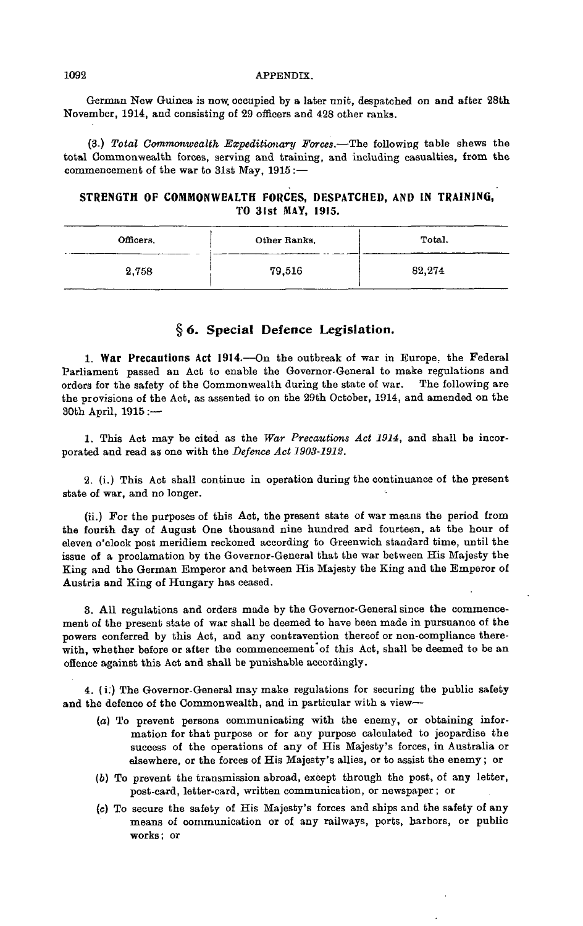German New Guinea is now. occupied by a later unit, despatched on and after 28th November, 1914, and consisting of 29 officers and 428 other ranks.

(3.) *Total Commonwealth Expeditionary Forces.*—The following table shews the total Commonwealth forces, serving and training, and including casualties, from the commencement of the war to 31st May, 1915 :—

## **STRENGTH OF COMMONWEALTH FORCES, DESPATCHED, AND IN TRAINING, TO 31st MAY, 1915.**

| Officers. | Other Ranks. | Total. |
|-----------|--------------|--------|
| 2,758     | 79,516       | 82,274 |

# **§** *6.* **Special Defence Legislation.**

1. War Precautions Act 1914.—On the outbreak of war in Europe, the Federal Parliament passed an Act to enable the Governor-General to make regulations and orders for the safety of the Commonwealth during the state of war. The following are the provisions of the Act, as assented to on the 29th October, 1914, and amended on the 30th April, 1915 :—

1. This Act may be cited as the *War Precautions Act 1914,* and shall be incorporated and read as one with the *Defence Act 1903-1912.*

2. (i.) This Act shall continue in operation during the continuance of the present state of war, and no longer.

(ii.) For the purposes of this Act, the present state of war means the period from the fourth day of August One thousand nine hundred and fourteen, at the hour of eleven o'clock post meridiem reckoned according to Greenwich standard time, until the issue of a proclamation by the Governor-General that the war between His Majesty the King and the German Emperor and between His Majesty the King and the Emperor of Austria and King of Hungary has ceased.

3. All regulations and orders made by the Governor-General since the commencement of the present state of war shall be deemed to have been made in pursuance of the powers conferred by this Act, and any contravention thereof or non-compliance therewith, whether before or after the commencement of this Act, shall be deemed to be an offence against this Act and shall be punishable accordingly.

4. (i:) The Governor-General may make regulations for securing the public safety and the defence of the Commonwealth, and in particular with a view—

- (a) To prevent persons communicating with the enemy, or obtaining information for that purpose or for any purpose calculated to jeopardise the success of the operations of any of His Majesty's forces, in Australia or elsewhere, or the forces of His Majesty's allies, or to assist the enemy; or
- *(b)* To prevent the transmission abroad, except through the post, of any letter, post-card, letter-card, written communication, or newspaper; or
- (c) To secure the safety of His Majesty's forces and ships and the safety of any means of communication or of any railways, ports, harbors, or public works; or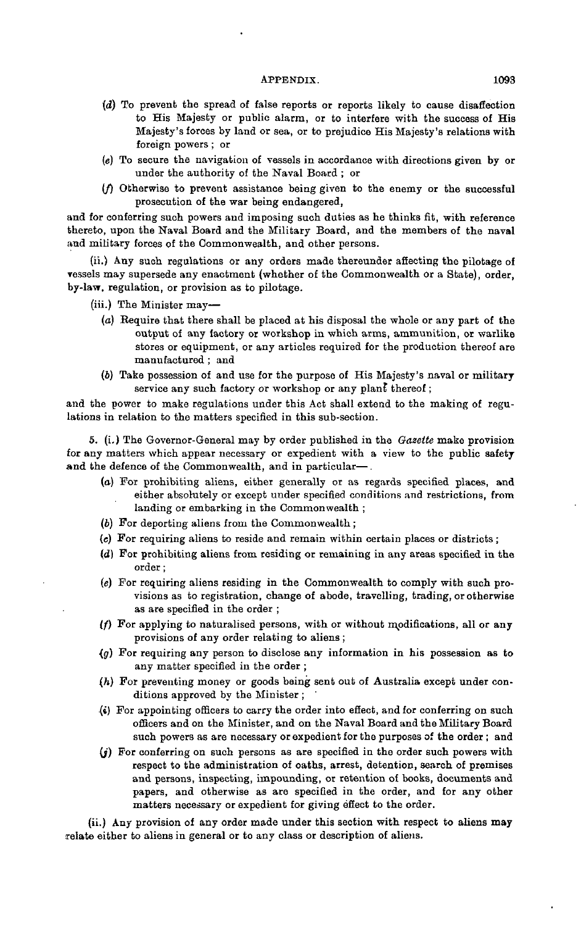- *{d)* To prevent the spread of false reports or reports likely to cause disaffection to His Majesty or public alarm, or to interfere with the success of His Majesty's forces by land or sea, or to prejudice His Majesty's relations with foreign powers ; or
- *(e)* To secure the navigation of vessels in accordance with directions given by or under the authority of the Naval Board ; or
- $(f)$  Otherwise to prevent assistance being given to the enemy or the successful prosecution of the war being endangered,

and for conferring such powers and imposing such duties as he thinks fit, with reference thereto, upon the Naval Board and the Military Board, and the members of the naval and military forces of the Commonwealth, and other persons.

(ii.) Any such regulations or any orders made thereunder affecting the pilotage of vessels may supersede any enactment (whether of the Commonwealth or a State), order, by-law, regulation, or provision as to pilotage.

(iii.) The Minister may—

- (a) Require that there shall be placed at his disposal the whole or any part of the output of any factory or workshop in which arms, ammunition, or warlike stores or equipment, or any articles required for the production thereof are manufactured ; and
- (6) Take possession of and use for the purpose of His Majesty's naval or military service any such factory or workshop or any plan£ thereof ;

and the power to make regulations under this Act shall extend to the making of regulations in relation to the matters specified in this sub-section.

5. (i.) The Governor-General may by order published in the *Gazette* make provision for any matters which appear necessary or expedient with a view to the public safety and the defence of the Commonwealth, and in particular—.

- (a) For prohibiting aliens, either generally or as regards specified places, and either absolutely or except under specified conditions and restrictions, from landing or embarking in the Commonwealth ;
- (6) For deporting aliens from the Commonwealth ;
- *(e)* For requiring aliens to reside and remain within certain places or districts;
- (d) For prohibiting aliens from residing or remaining in any areas specified in the order;
- *(e)* For requiring aliens residing in the Commonwealth to comply with such provisions as to registration, change of abode, travelling, trading, or otherwise as are specified in the order ;
- $(f)$  For applying to naturalised persons, with or without modifications, all or any provisions of any order relating to aliens ;
- *•(g)* For requiring any person to disclose any information in his possession as to any matter specified in the order ;
- *(h)* For preventing money or goods being sent out of Australia except under conditions approved by the Minister ;
- *{i)* For appointing officers to carry the order into effect, and for conferring on such officers and on the Minister, and on the Naval Board and the Military Board such powers as are necessary or expedient for the purposes of the order ; and
- $(j)$  For conferring on such persons as are specified in the order such powers with respect to the administration of oaths, arrest, detention, search of premises and persons, inspecting, impounding, or retention of books, documents and papers, and otherwise as are specified in the order, and for any other matters necessary or expedient for giving effect to the order.

(ii.) Any provision of any order made under this section with respect to aliens may relate either to aliens in general or to any class or description of aliens.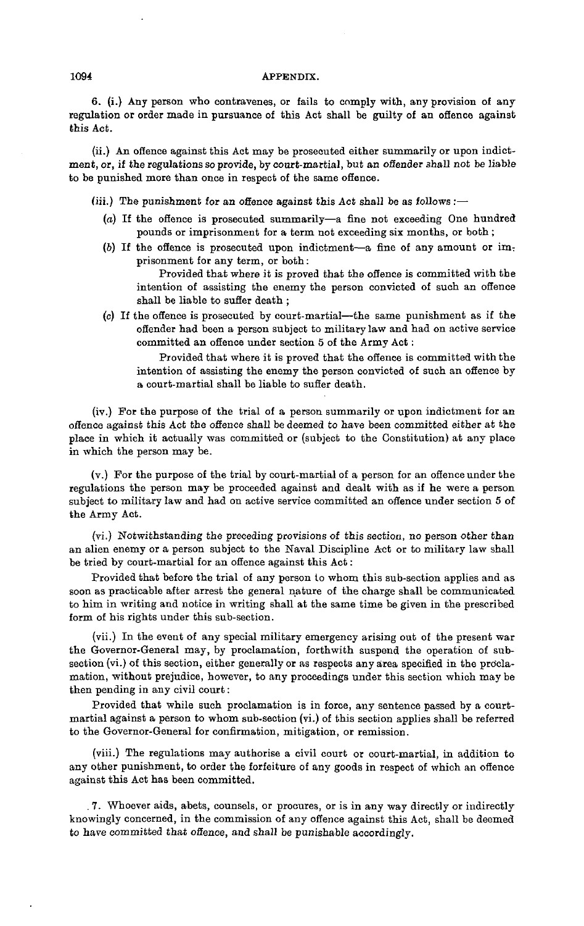6. (i.) Any person who contravenes, or fails to comply with, any provision of any regulation or order made in pursuance of this Act shall be guilty of an offence against this Act.

(ii.) An offence against this Act may be prosecuted either summarily or upon indictment, or, if the regulations so provide, by court-martial, but an offender shall not be liable to be punished more than once in respect of the same offence.

(iii.) The punishment for an offence against this Act shall be as follows :-

- (a) If the offence is prosecuted summarily—a fine not exceeding One hundred pounds or imprisonment for a term not exceeding six months, or both ;
- (b) If the offence is prosecuted upon indictment—a fine of any amount or imprisonment for any term, or both:

Provided that where it is proved that the offence is committed with the intention of assisting the enemy the person convicted of such an offence shall be liable to suffer death ;

(c) If the offence is prosecuted by court-martial—the same punishment as if the offender had been a person subject to military law and had on active service committed an offence under section 5 of the Army Act :

Provided that where it is proved that the offence is committed with the intention of assisting the enemy the person convicted of such an offence by a court-martial shall be liable to suffer death.

(iv.) For the purpose of the trial of a person summarily or upon indictment for an offence against this Act the offence shall be deemed to have been committed either at the place in which it actually was committed or (subject to the Constitution) at any place in which the person may be.

(v.) For the purpose of the trial by court-martial of a person for an offence under the regulations the person may be proceeded against and dealt with as if he were a person subject to military law and had on active service committed an offence under section 5 of the Army Act.

(vi.) Notwithstanding the preceding provisions of this section, no person other than an alien enemy or a person subject to the Naval Discipline Act or to military law shall be tried by court-martial for an offence against this Act:

Provided that before the trial of any person to whom this sub-section applies and as soon as practicable after arrest the general nature of the charge shall be communicated to him in writing and notice in writing shall at the same time be given in the prescribed form of his rights under this sub-section.

(vii.) In the event of any special military emergency arising out of the present war the Governor-General may, by proclamation, forthwith suspend the operation of subsection (vi.) of this section, either generally or as respects any area specified in the proclamation, without prejudice, however, to any proceedings under this section which may be then pending in any civil court:

Provided that while such proclamation is in force, any sentence passed by a courtmartial against a person to whom sub-section (vi.) of this section applies shall be referred to the Governor-General for confirmation, mitigation, or remission.

(viii.) The regulations may authorise a civil court or court-martial, in addition to any other punishment, to order the forfeiture of any goods in respect of which an offence against this Act has been committed.

. 7. Whoever aids, abets, counsels, or procures, or is in any way directly or indirectly knowingly concerned, in the commission of any offence against this Act, shall be deemed to have committed that offence, and shall be punishable accordingly.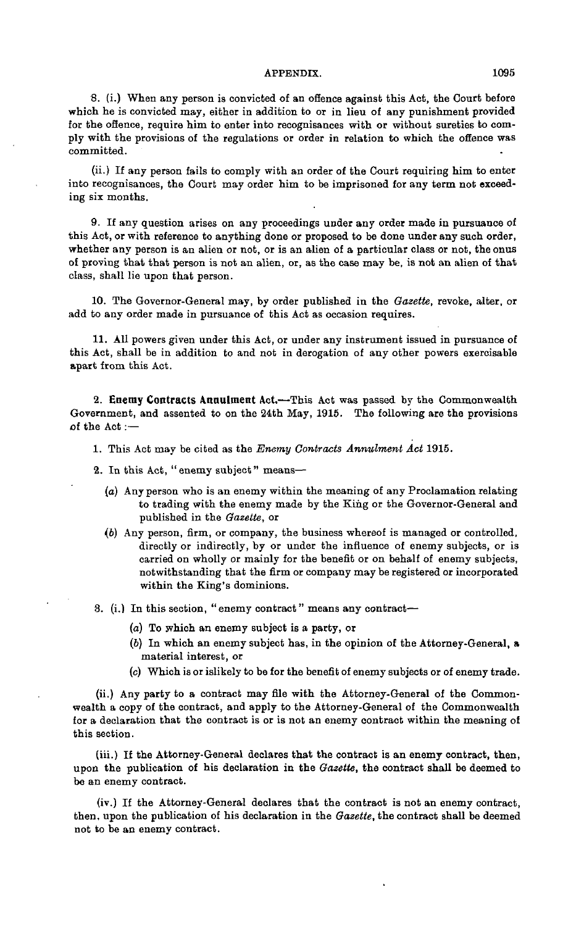8. (i.) When any person is convicted of an offence against this Act, the Court before which he *is* convicted may, either in addition to or in lieu of any punishment provided for the offence, require him to enter into recognisances with or without sureties to comply with the provisions of the regulations or order in relation to which the offence was committed.

(ii.) If any person fails to comply with an order of the Court requiring him to enter into recognisances, the Court may order him to be imprisoned for any term not exceeding six months.

9. If any question arises on any proceedings under any order made in pursuance of this Act, or with reference to anything done or proposed to be done under any such order, whether any person is an alien or not, or is an alien of a particular class or not, the onus of proving that that person is not an alien, or, as the case may be, is not an alien of that class, shall lie upon that person.

10. The Governor-General may, by order published in the *Gazette,* revoke, alter, or add to any order made in pursuance of this Act as occasion requires.

11. All powers given under this Act, or under any instrument issued in pursuance of this Act, shall be in addition to and not in derogation of any other powers exercisable apart from this Act.

**2. Enemy Contracts Annulment Act.**—This Act was passed by the Commonwealth Government, and assented to on the 24th May, 1915. The following are the provisions of the Act :—

1. This Act may be cited as the *Enemy Contracts Annulment Act* 1915.

- 2. In this Act, " enemy subject" means—
	- (a) Any person who is an enemy within the meaning of any Proclamation relating to trading with the enemy made by the King or the Governor-General and published in the *Gazette,* or
	- (6) Any person, firm, or company, the business whereof is managed or controlled, directly or indirectly, by or under the influence of enemy subjects, or is carried on wholly or mainly for the benefit or on behalf of enemy subjects, notwithstanding that the firm or company may be registered or incorporated within the King's dominions.
- 3. (i.) In this section, "enemy contract" means any contract—
	- (a) To which an enemy subject is a party, or
	- (6) In which an enemy subject has, in the opinion of the Attorney-General, a material interest, or
	- (c) Which is or islikely to be for the benefit of enemy subjects or of enemy trade.

(ii.) Any party to a contract may file with the Attorney-General of the Commonwealth a copy of the contract, and apply to the Attorney-General of the Commonwealth for a declaration that the contract is or is not an enemy contract within the meaning of this section.

(iii.) If the Attorney-General declares that the contract is an enemy contract, then, upon the publication of his declaration in the *Gazette,* the contract shall be deemed to be an enemy contract.

(iv.) If the Attorney-General declares that the contract is not an enemy contract, then, upon the publication of his declaration in the *Gazette,* the contract shall be deemed not to be an enemy contract.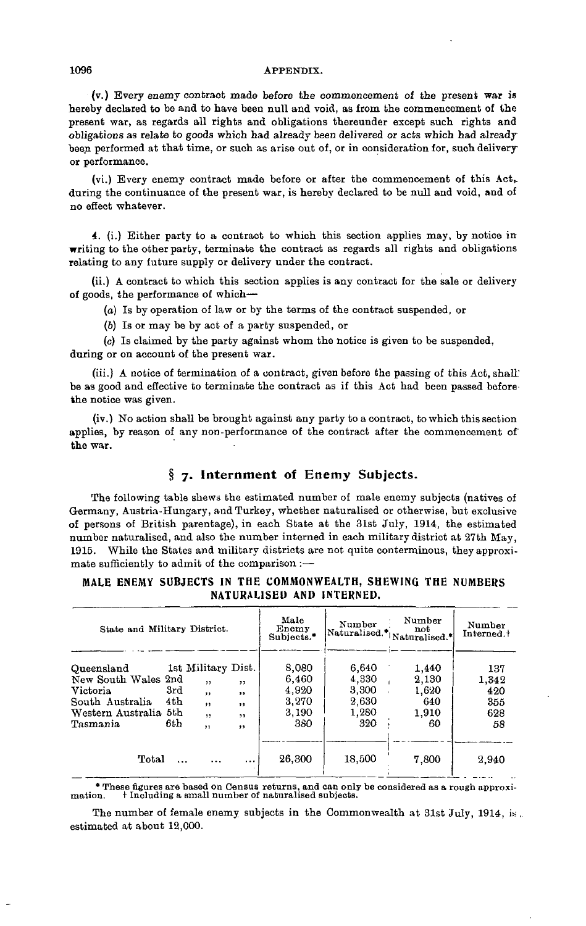(v.) Every enemy contract made before the commencement of the present war *is* hereby declared to be and to have been null and void, as from the commencement of the present war, as regards all rights and obligations thereunder except such rights and obligations as relate to goods which had already been delivered or acts which had already been performed at that time, or such as arise out of, or in consideration for, such delivery or performance.

(vi.) Every enemy contract made before or after the commencement of this Act,, during the continuance of the present war, is hereby declared to be null and void, and of no effect whatever.

4. (i.) Either party to a contract to which this section applies may, by notice in writing to the other party, terminate the contract as regards all rights and obligations relating to any future supply or delivery under the contract.

(ii.) A contract to which this section applies is any contract for the sale or delivery of goods, the performance of which—

(a) Is by operation of law or by the terms of the contract suspended, or

(6) Is or may be by act of a party suspended, or

(c) Is claimed by the party against whom the notice is given to be suspended, during or on account of the present war.

(iii.) A notice of termination of a contract, given before the passing of this Act, shall! be as good and effective to terminate the contract as if this Act had been passed before the notice was given.

(iv.) No action shall be brought against any party to a contract, to which this section applies, by reason of any non-performance of the contract after the commencement of the war.

# **§ 7. Internment of Enemy Subjects.**

The following table shews the estimated number of male enemy subjects (natives of Germany, Austria-Hungary, and Turkey, whether naturalised or otherwise, but exclusive of persons of British parentage), in each State at the 31st July, 1914, the estimated number naturalised, and also the number interned in each military district at 27th May, 1915. While the States and military districts are not quite conterminous, they approximate sufficiently to admit of the comparison :—

#### MALE ENEMY SUBJECTS IN THE COMMONWEALTH, SHEWING THE NUMBERS NATURALISED AND INTERNED.

| State and Military District.                                                                                 |                    |                                                                              |                                        | Male<br>Enemy<br>Subjects.*                      | Number                                           | Number<br> Naturalised.* Naturalised.*        | Number<br>Interned. <sup>+</sup>        |
|--------------------------------------------------------------------------------------------------------------|--------------------|------------------------------------------------------------------------------|----------------------------------------|--------------------------------------------------|--------------------------------------------------|-----------------------------------------------|-----------------------------------------|
| Queensland<br>New South Wales 2nd<br><b>Victoria</b><br>South Australia<br>Western Australia 5th<br>Tasmania | 3rd<br>4th<br>6th. | 1st Military Dist.<br>,<br>$\mathbf{11}$<br>, ,<br>$\ddot{\phantom{1}}$<br>, | $, \cdot$<br>,,<br>22<br>$, \,$<br>, , | 8,080<br>6.460<br>4,920<br>3,270<br>3,190<br>380 | 6,640<br>4,330<br>3,300<br>2,630<br>1,280<br>320 | 1.440<br>2,130<br>1,620<br>640<br>1.910<br>60 | 137<br>1,342<br>420<br>355<br>628<br>58 |
| Total                                                                                                        | $\ddotsc$          | $\ddotsc$                                                                    |                                        | 26,300                                           | 18,500                                           | 7,800                                         | 2,940                                   |

\* These figures are based oo Census returns, and can only be considered as a rough approxi-mation, t Including a small number of naturalised subjects.

The number of female enemy subjects in the Commonwealth at 31st July, 1914, is. estimated at about 12,000.